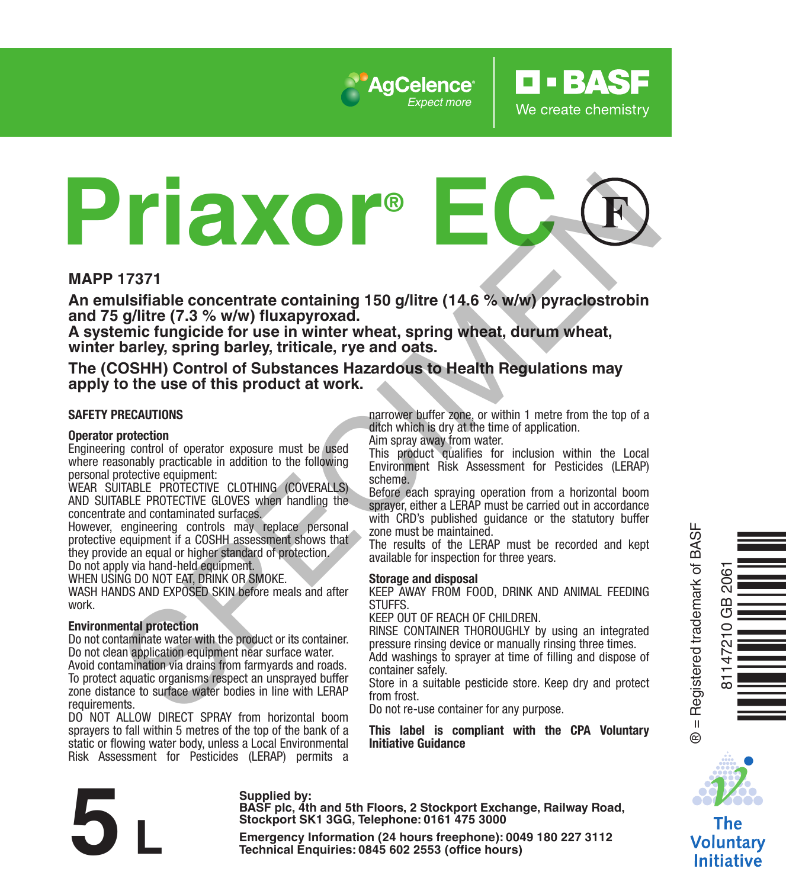

# **Priaxor® EC** The metal procedure of this product of the results and the specifical section and product the specific section and product the specific section of the specific of the specific product at work.<br>
Spillite (7.3 % wWw) phase p

#### **MAPP 17371**

**An emulsifiable concentrate containing 150 g/litre (14.6 % w/w) pyraclostrobin and 75 g/litre (7.3 % w/w) fluxapyroxad.** 

**A systemic fungicide for use in winter wheat, spring wheat, durum wheat, winter barley, spring barley, triticale, rye and oats.**

**The (COSHH) Control of Substances Hazardous to Health Regulations may apply to the use of this product at work.**

#### **SAFETY PRECAUTIONS**

#### **Operator protection**

Engineering control of operator exposure must be used where reasonably practicable in addition to the following personal protective equipment:

WEAR SUITABLE PROTECTIVE CLOTHING (COVERALLS) AND SUITABLE PROTECTIVE GLOVES when handling the concentrate and contaminated surfaces.

However, engineering controls may replace personal protective equipment if a COSHH assessment shows that they provide an equal or higher standard of protection.

Do not apply via hand-held equipment.

WHEN USING DO NOT EAT, DRINK OR SMOKE.

WASH HANDS AND EXPOSED SKIN before meals and after work.

#### **Environmental protection**

Do not contaminate water with the product or its container. Do not clean application equipment near surface water. Avoid contamination via drains from farmyards and roads. To protect aquatic organisms respect an unsprayed buffer zone distance to surface water bodies in line with LERAP requirements.

DO NOT ALLOW DIRECT SPRAY from horizontal boom sprayers to fall within 5 metres of the top of the bank of a static or flowing water body, unless a Local Environmental Risk Assessment for Pesticides (LERAP) permits a

**Supplied by:**

narrower buffer zone, or within 1 metre from the top of a ditch which is dry at the time of application.

**O** · BASE

We create chemistry

Aim spray away from water.

This product qualifies for inclusion within the Local Environment Risk Assessment for Pesticides (LERAP) scheme.

Before each spraying operation from a horizontal boom sprayer, either a LERAP must be carried out in accordance with CRD's published quidance or the statutory buffer zone must be maintained.

The results of the LERAP must be recorded and kept available for inspection for three years.

#### **Storage and disposal**

KEEP AWAY FROM FOOD, DRINK AND ANIMAL FEEDING **STUFFS** 

KEEP OUT OF REACH OF CHILDREN.

RINSE CONTAINER THOROUGHLY by using an integrated pressure rinsing device or manually rinsing three times.

Add washings to sprayer at time of filling and dispose of container safely.

Store in a suitable pesticide store. Keep dry and protect from frost.

Do not re-use container for any purpose.

**This label is compliant with the CPA Voluntary Initiative Guidance**



Òq.h\*ZÓ

® = Registered trademark of BASF

 $\ddot{\circ}$ 

81147210 GB 2061

GB  $\frac{1}{2}$ Ë

The **Voluntary Initiative** 

**BASF plc, 4th and 5th Floors, 2 Stockport Exchange, Railway Road, Stockport SK1 3GG, Telephone: 0161 475 3000** Eupplied by:<br>
EMASF plc, 4th and 5th Floors, 2 Stockport Exchange, Railway Roa<br>
Stockport SK1 3GG, Telephone: 0161 475 3000<br>
Emergency Information (24 hours freephone): 0049 180 227 3112<br>
Technical Enquiries: 0845 602 2553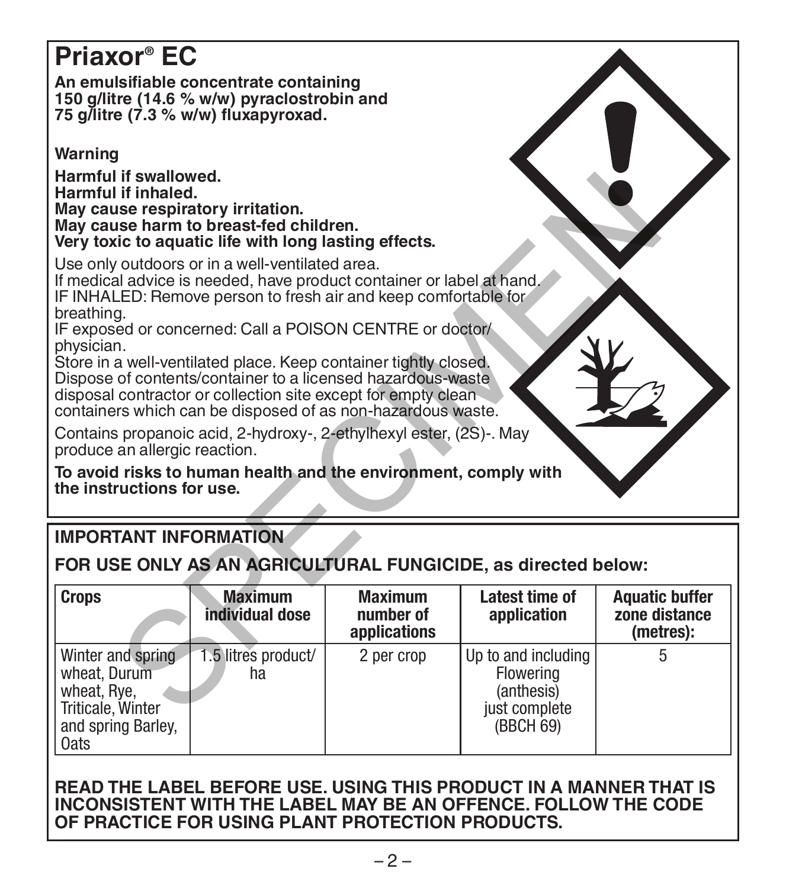# **Priaxor® EC**

**An emulsifiable concentrate containing 150 g/litre (14.6 % w/w) pyraclostrobin and 75 g/litre (7.3 % w/w) fluxapyroxad.** 

# **Warning**

**Harmful if swallowed. Harmful if inhaled. May cause respiratory irritation. May cause harm to breast-fed children. Very toxic to aquatic life with long lasting effects.**

# **IMPORTANT INFORMATION**

| Harmful if inhaled.<br>May cause respiratory irritation.<br>May cause harm to breast-fed children.<br>Very toxic to aquatic life with long lasting effects.                                                                                                                                                                                                                                                                                                                                                                                            |                                   |                                             |                                                               |                                                     |
|--------------------------------------------------------------------------------------------------------------------------------------------------------------------------------------------------------------------------------------------------------------------------------------------------------------------------------------------------------------------------------------------------------------------------------------------------------------------------------------------------------------------------------------------------------|-----------------------------------|---------------------------------------------|---------------------------------------------------------------|-----------------------------------------------------|
| Use only outdoors or in a well-ventilated area.<br>If medical advice is needed, have product container or label at hand.<br>IF INHALED: Remove person to fresh air and keep comfortable for<br>breathing.<br>IF exposed or concerned: Call a POISON CENTRE or doctor/<br>physician.<br>Store in a well-ventilated place. Keep container tightly closed.<br>Dispose of contents/container to a licensed hazardous-waste<br>disposal contractor or collection site except for empty clean<br>containers which can be disposed of as non-hazardous waste. |                                   |                                             |                                                               |                                                     |
| Contains propanoic acid, 2-hydroxy-, 2-ethylhexyl ester, (2S)-. May<br>produce an allergic reaction.                                                                                                                                                                                                                                                                                                                                                                                                                                                   |                                   |                                             |                                                               |                                                     |
| To avoid risks to human health and the environment, comply with<br>the instructions for use.                                                                                                                                                                                                                                                                                                                                                                                                                                                           |                                   |                                             |                                                               |                                                     |
| <b>IMPORTANT INFORMATION</b>                                                                                                                                                                                                                                                                                                                                                                                                                                                                                                                           |                                   |                                             |                                                               |                                                     |
|                                                                                                                                                                                                                                                                                                                                                                                                                                                                                                                                                        |                                   |                                             | FOR USE ONLY AS AN AGRICULTURAL FUNGICIDE, as directed below: |                                                     |
| <b>Crops</b>                                                                                                                                                                                                                                                                                                                                                                                                                                                                                                                                           | <b>Maximum</b><br>individual dose | <b>Maximum</b><br>number of<br>applications | Latest time of<br>application                                 | <b>Aquatic buffer</b><br>zone distance<br>(metres): |

#### **READ THE LABEL BEFORE USE. USING THIS PRODUCT IN A MANNER THAT IS INCONSISTENT WITH THE LABEL MAY BE AN OFFENCE. FOLLOW THE CODE OF PRACTICE FOR USING PLANT PROTECTION PRODUCTS.**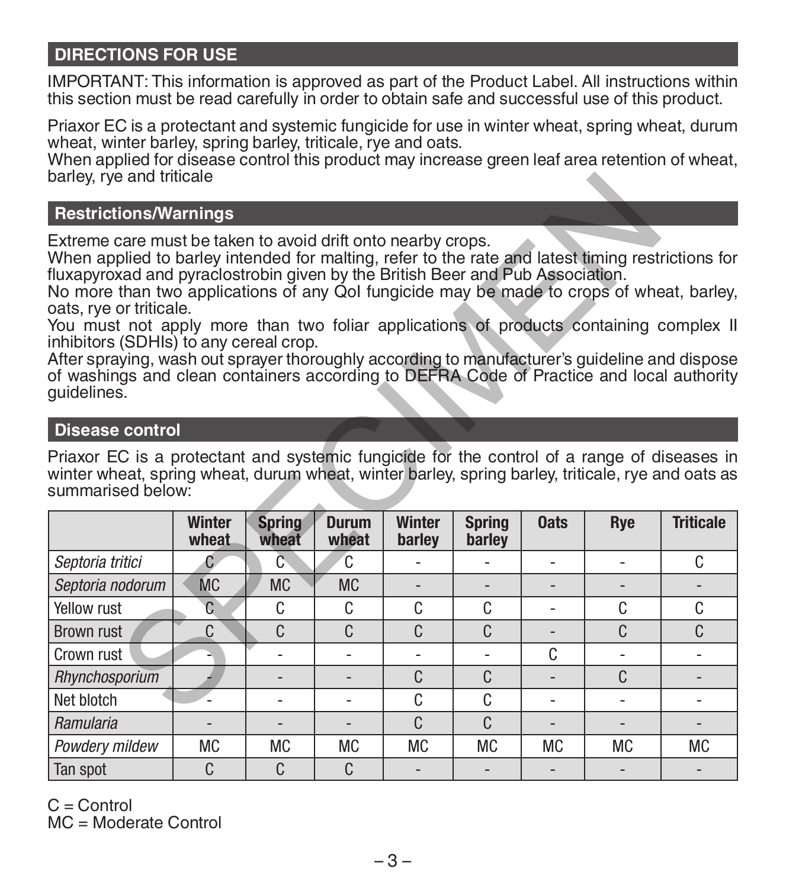# **DIRECTIONS FOR USE**

IMPORTANT: This information is approved as part of the Product Label. All instructions within this section must be read carefully in order to obtain safe and successful use of this product.

Priaxor EC is a protectant and systemic fungicide for use in winter wheat, spring wheat, durum wheat, winter barley, spring barley, triticale, rye and oats.

When applied for disease control this product may increase green leaf area retention of wheat, barley, rye and triticale

#### **Restrictions/Warnings**

#### **Disease control**

| <b>Restrictions/Warnings</b>                                                                                                                                                                                                                                                                                                                                                                                                                                                                                                                                                                                                                                                                                                |                        |                        |                       |                         |                         |                          |              |                  |
|-----------------------------------------------------------------------------------------------------------------------------------------------------------------------------------------------------------------------------------------------------------------------------------------------------------------------------------------------------------------------------------------------------------------------------------------------------------------------------------------------------------------------------------------------------------------------------------------------------------------------------------------------------------------------------------------------------------------------------|------------------------|------------------------|-----------------------|-------------------------|-------------------------|--------------------------|--------------|------------------|
| Extreme care must be taken to avoid drift onto nearby crops.<br>When applied to barley intended for malting, refer to the rate and latest timing restrictions for<br>fluxapyroxad and pyraclostrobin given by the British Beer and Pub Association.<br>No more than two applications of any QoI fungicide may be made to crops of wheat, barley,<br>oats, rye or triticale.<br>You must not apply more than two foliar applications of products containing complex II<br>inhibitors (SDHIs) to any cereal crop.<br>After spraying, wash out sprayer thoroughly according to manufacturer's guideline and dispose<br>of washings and clean containers according to DEFRA Code of Practice and local authority<br>quidelines. |                        |                        |                       |                         |                         |                          |              |                  |
| <b>Disease control</b>                                                                                                                                                                                                                                                                                                                                                                                                                                                                                                                                                                                                                                                                                                      |                        |                        |                       |                         |                         |                          |              |                  |
| Priaxor EC is a protectant and systemic fungicide for the control of a range of diseases in<br>winter wheat, spring wheat, durum wheat, winter barley, spring barley, triticale, rye and oats as                                                                                                                                                                                                                                                                                                                                                                                                                                                                                                                            |                        |                        |                       |                         |                         |                          |              |                  |
| summarised below:                                                                                                                                                                                                                                                                                                                                                                                                                                                                                                                                                                                                                                                                                                           | <b>Winter</b><br>wheat | <b>Spring</b><br>wheat | <b>Durum</b><br>wheat | <b>Winter</b><br>barley | <b>Spring</b><br>barley | <b>Oats</b>              | Rye          | <b>Triticale</b> |
| Septoria tritici                                                                                                                                                                                                                                                                                                                                                                                                                                                                                                                                                                                                                                                                                                            | C                      | Č                      | C                     |                         |                         |                          |              | C                |
| Septoria nodorum                                                                                                                                                                                                                                                                                                                                                                                                                                                                                                                                                                                                                                                                                                            | <b>MC</b>              | <b>MC</b>              | <b>MC</b>             |                         |                         |                          |              |                  |
| Yellow rust                                                                                                                                                                                                                                                                                                                                                                                                                                                                                                                                                                                                                                                                                                                 | C                      | C                      | C                     | C                       | C                       | $\overline{a}$           | C            | C                |
| Brown rust                                                                                                                                                                                                                                                                                                                                                                                                                                                                                                                                                                                                                                                                                                                  | C                      | $\mathsf{C}$           | C                     | C                       | C                       | $\overline{\phantom{a}}$ | C            | C                |
| Crown rust                                                                                                                                                                                                                                                                                                                                                                                                                                                                                                                                                                                                                                                                                                                  |                        |                        | $\overline{a}$        |                         |                         | C                        |              |                  |
| Rhynchosporium                                                                                                                                                                                                                                                                                                                                                                                                                                                                                                                                                                                                                                                                                                              |                        |                        |                       | C                       | C                       |                          | $\mathsf{C}$ |                  |
| Net blotch                                                                                                                                                                                                                                                                                                                                                                                                                                                                                                                                                                                                                                                                                                                  |                        |                        |                       | C                       | C                       |                          |              |                  |
| Ramularia                                                                                                                                                                                                                                                                                                                                                                                                                                                                                                                                                                                                                                                                                                                   |                        | $\overline{a}$         | $\overline{a}$        | C                       | $\mathsf{C}$            |                          |              |                  |
| Powdery mildew                                                                                                                                                                                                                                                                                                                                                                                                                                                                                                                                                                                                                                                                                                              | <b>MC</b>              | <b>MC</b>              | <b>MC</b>             | <b>MC</b>               | <b>MC</b>               | <b>MC</b>                | <b>MC</b>    | <b>MC</b>        |

 $C =$  Control MC = Moderate Control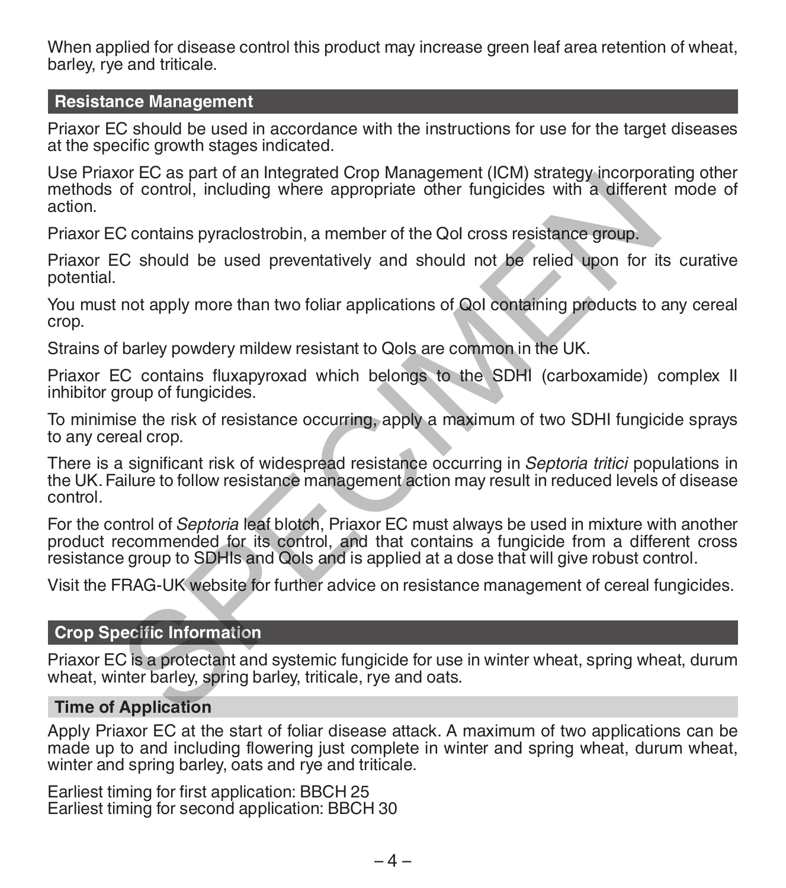When applied for disease control this product may increase green leaf area retention of wheat barley, rye and triticale.

#### **Resistance Management**

Priaxor EC should be used in accordance with the instructions for use for the target diseases at the specific growth stages indicated.

Use Priaxor EC as part of an Integrated Crop Management (ICM) strategy incorporating other methods of control, including where appropriate other fungicides with a different mode of action.

Priaxor EC contains pyraclostrobin, a member of the QoI cross resistance group.

Priaxor EC should be used preventatively and should not be relied upon for its curative potential.

You must not apply more than two foliar applications of QoI containing products to any cereal crop.

Strains of barley powdery mildew resistant to Ools are common in the UK.

Priaxor EC contains fluxapyroxad which belongs to the SDHI (carboxamide) complex II inhibitor group of fungicides.

To minimise the risk of resistance occurring, apply a maximum of two SDHI fungicide sprays to any cereal crop.

There is a significant risk of widespread resistance occurring in *Septoria tritici* populations in the UK. Failure to follow resistance management action may result in reduced levels of disease control.

For the control of *Septoria* leaf blotch, Priaxor EC must always be used in mixture with another product recommended for its control, and that contains a fungicide from a different cross resistance group to SDHIs and QoIs and is applied at a dose that will give robust control. or Lo as jearn or an imigrated crop interappellent (tony states) into the control, including where appropriate other fungicides with a difference control, including where appropriate other fungicides with a difference cont

Visit the FRAG-UK website for further advice on resistance management of cereal fungicides.

#### **Crop Specific Information**

Priaxor EC is a protectant and systemic fungicide for use in winter wheat, spring wheat, durum wheat, winter barley, spring barley, triticale, rye and oats.

#### **Time of Application**

Apply Priaxor EC at the start of foliar disease attack. A maximum of two applications can be made up to and including flowering just complete in winter and spring wheat, durum wheat, winter and spring barley, oats and rye and triticale.

Earliest timing for first application: BBCH 25 Earliest timing for second application: BBCH 30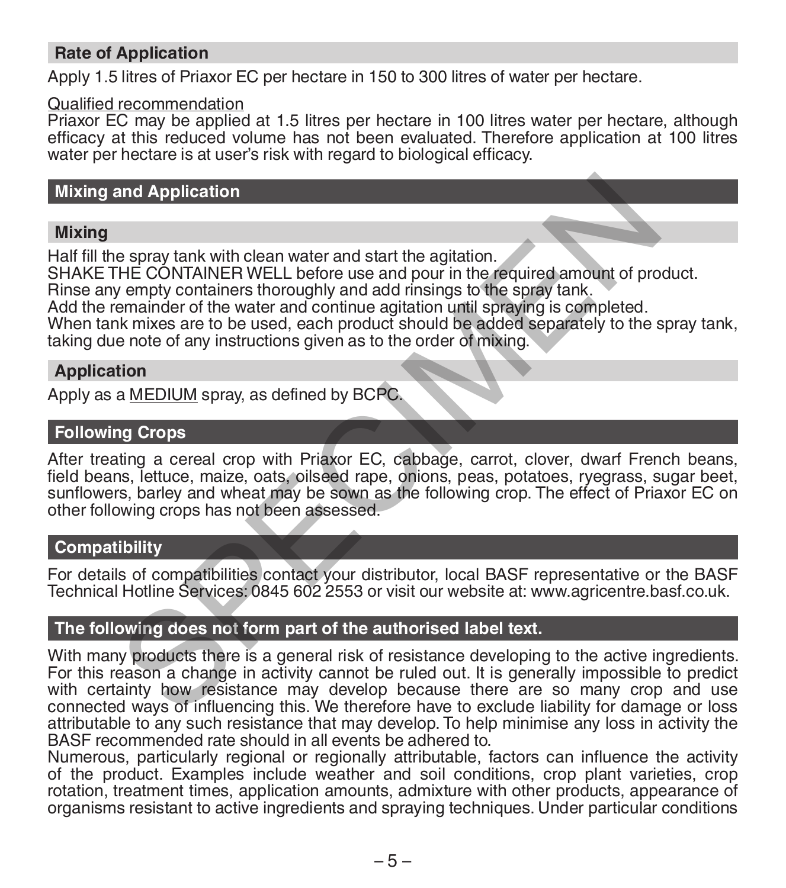# **Rate of Application**

Apply 1.5 litres of Priaxor EC per hectare in 150 to 300 litres of water per hectare.

#### Qualified recommendation

Priaxor EC may be applied at 1.5 litres per hectare in 100 litres water per hectare, although efficacy at this reduced volume has not been evaluated. Therefore application at 100 litres water per hectare is at user's risk with regard to biological efficacy.

# **Mixing and Application**

#### **Mixing**

Half fill the spray tank with clean water and start the agitation.

SHAKE THE CONTAINER WELL before use and pour in the required amount of product.

Rinse any empty containers thoroughly and add rinsings to the spray tank.

Add the remainder of the water and continue agitation until spraying is completed.

When tank mixes are to be used, each product should be added separately to the spray tank. taking due note of any instructions given as to the order of mixing.

#### **Application**

Apply as a MEDIUM spray, as defined by BCPC.

## **Following Crops**

After treating a cereal crop with Priaxor EC, cabbage, carrot, clover, dwarf French beans, field beans, lettuce, maize, oats, oilseed rape, onions, peas, potatoes, ryegrass, sugar beet, sunflowers, barley and wheat may be sown as the following crop. The effect of Priaxor EC on other following crops has not been assessed.

### **Compatibility**

For details of compatibilities contact your distributor, local BASF representative or the BASF Technical Hotline Services: 0845 602 2553 or visit our website at: www.agricentre.basf.co.uk.

# **The following does not form part of the authorised label text.**

With many products there is a general risk of resistance developing to the active ingredients. For this reason a change in activity cannot be ruled out. It is generally impossible to predict with certainty how resistance may develop because there are so many crop and use connected ways of influencing this. We therefore have to exclude liability for damage or loss attributable to any such resistance that may develop. To help minimise any loss in activity the BASF recommended rate should in all events be adhered to. and Application<br>
e spray tank with clean water and start the agitation.<br>
HE CONTAINER WELL before use and pour in the required amount of pro<br>
emainder of the water and continue agitation until spraying is completed.<br>
he ma

Numerous, particularly regional or regionally attributable, factors can influence the activity of the product. Examples include weather and soil conditions, crop plant varieties, crop rotation, treatment times, application amounts, admixture with other products, appearance of organisms resistant to active ingredients and spraying techniques. Under particular conditions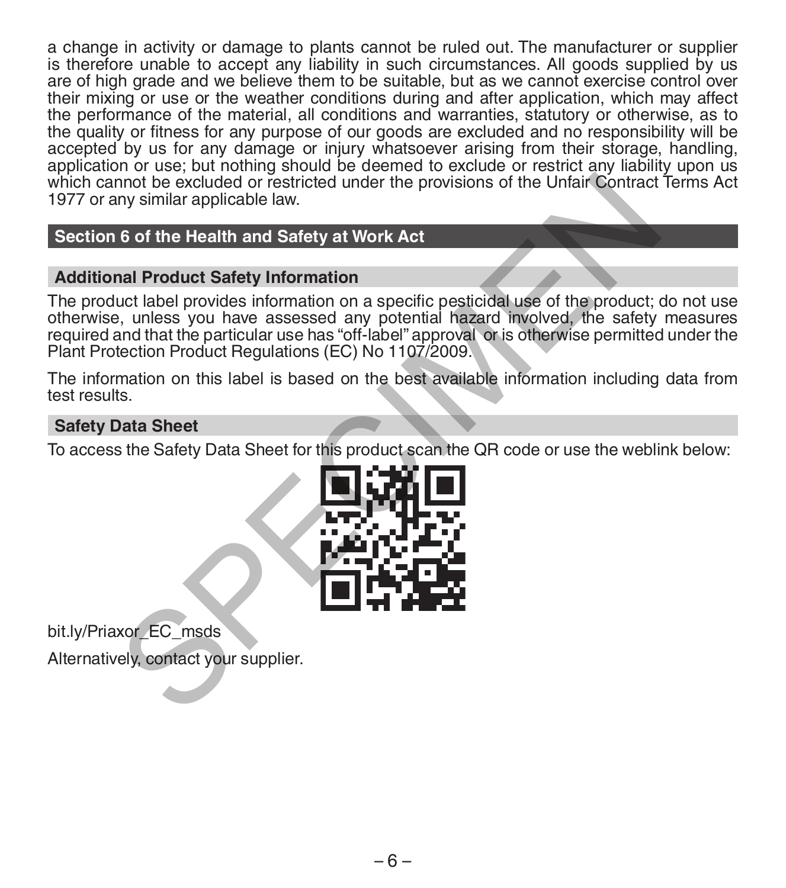a change in activity or damage to plants cannot be ruled out. The manufacturer or supplier is therefore unable to accept any liability in such circumstances. All goods supplied by us are of high grade and we believe them to be suitable, but as we cannot exercise control over their mixing or use or the weather conditions during and after application, which may affect the performance of the material, all conditions and warranties, statutory or otherwise, as to the quality or fitness for any purpose of our goods are excluded and no responsibility will be accepted by us for any damage or injury whatsoever arising from their storage, handling, application or use; but nothing should be deemed to exclude or restrict any liability upon us which cannot be excluded or restricted under the provisions of the Unfair Contract Terms Act 1977 or any similar applicable law.

# **Section 6 of the Health and Safety at Work Act**

# **Additional Product Safety Information**

The product label provides information on a specific pesticidal use of the product; do not use otherwise, unless you have assessed any potential hazard involved, the safety measures required and that the particular use has "off-label" approval or is otherwise permitted under the Plant Protection Product Regulations (EC) No 1107/2009. mot be excluded or restricted under the provisions of the Unfair Contract<br>the system are provided leave.<br>
6 of the Health and Safety at Work Act<br>
and Product Safety Information<br>
cuct label provides information on a specifi

The information on this label is based on the best available information including data from test results.

## **Safety Data Sheet**

To access the Safety Data Sheet for this product scan the QR code or use the weblink below:



bit.ly/Priaxor\_EC\_msds

Alternatively, contact your supplier.